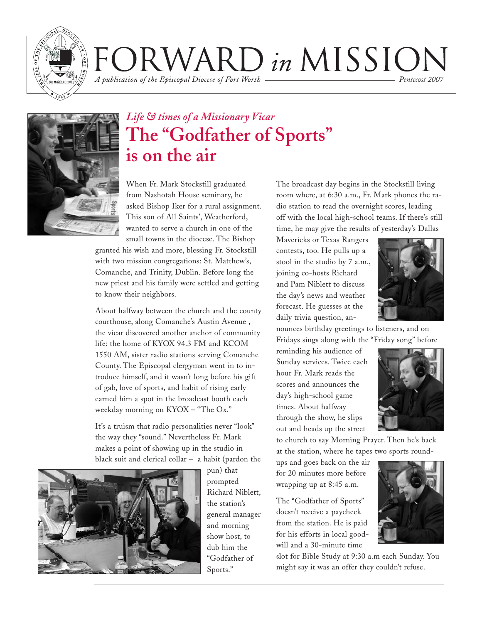

RWARD in MISSION A publication of the Episcopal Diocese of Fort Worth *Pentecost 2007*



### *Life & times of a Missionary Vicar* **The "Godfather of Sports" is on the air**

When Fr. Mark Stockstill graduated from Nashotah House seminary, he asked Bishop Iker for a rural assignment. This son of All Saints', Weatherford, wanted to serve a church in one of the small towns in the diocese. The Bishop

granted his wish and more, blessing Fr. Stockstill with two mission congregations: St. Matthew's, Comanche, and Trinity, Dublin. Before long the new priest and his family were settled and getting to know their neighbors.

About halfway between the church and the county courthouse, along Comanche's Austin Avenue , the vicar discovered another anchor of community life: the home of KYOX 94.3 FM and KCOM 1550 AM, sister radio stations serving Comanche County. The Episcopal clergyman went in to introduce himself, and it wasn't long before his gift of gab, love of sports, and habit of rising early earned him a spot in the broadcast booth each weekday morning on KYOX – "The Ox."

It's a truism that radio personalities never "look" the way they "sound." Nevertheless Fr. Mark makes a point of showing up in the studio in black suit and clerical collar – a habit (pardon the



pun) that prompted Richard Niblett, the station's general manager and morning show host, to dub him the "Godfather of Sports."

The broadcast day begins in the Stockstill living room where, at 6:30 a.m., Fr. Mark phones the radio station to read the overnight scores, leading off with the local high-school teams. If there's still time, he may give the results of yesterday's Dallas

Mavericks or Texas Rangers contests, too. He pulls up a stool in the studio by 7 a.m., joining co-hosts Richard and Pam Niblett to discuss the day's news and weather forecast. He guesses at the daily trivia question, an-



nounces birthday greetings to listeners, and on Fridays sings along with the "Friday song" before

reminding his audience of Sunday services. Twice each hour Fr. Mark reads the scores and announces the day's high-school game times. About halfway through the show, he slips out and heads up the street



to church to say Morning Prayer. Then he's back at the station, where he tapes two sports round-

ups and goes back on the air for 20 minutes more before wrapping up at 8:45 a.m.

The "Godfather of Sports" doesn't receive a paycheck from the station. He is paid for his efforts in local goodwill and a 30-minute time

slot for Bible Study at 9:30 a.m each Sunday. You might say it was an offer they couldn't refuse.

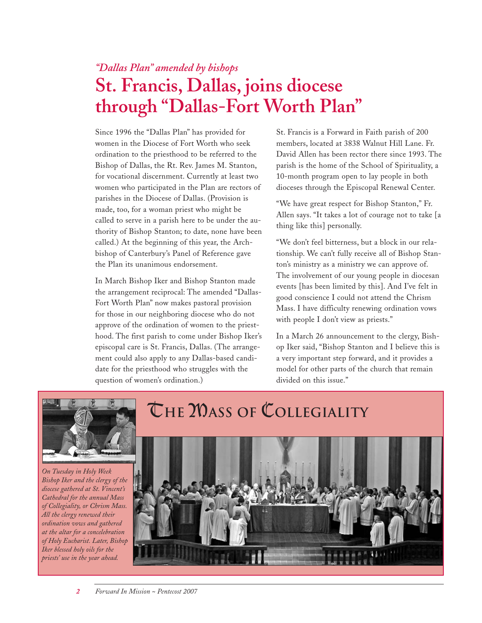### *"Dallas Plan" amended by bishops* **St. Francis, Dallas, joins diocese through "Dallas-Fort Worth Plan"**

Since 1996 the "Dallas Plan" has provided for women in the Diocese of Fort Worth who seek ordination to the priesthood to be referred to the Bishop of Dallas, the Rt. Rev. James M. Stanton, for vocational discernment. Currently at least two women who participated in the Plan are rectors of parishes in the Diocese of Dallas. (Provision is made, too, for a woman priest who might be called to serve in a parish here to be under the authority of Bishop Stanton; to date, none have been called.) At the beginning of this year, the Archbishop of Canterbury's Panel of Reference gave the Plan its unanimous endorsement.

In March Bishop Iker and Bishop Stanton made the arrangement reciprocal: The amended "Dallas-Fort Worth Plan" now makes pastoral provision for those in our neighboring diocese who do not approve of the ordination of women to the priesthood. The first parish to come under Bishop Iker's episcopal care is St. Francis, Dallas. (The arrangement could also apply to any Dallas-based candidate for the priesthood who struggles with the question of women's ordination.)

St. Francis is a Forward in Faith parish of 200 members, located at 3838 Walnut Hill Lane. Fr. David Allen has been rector there since 1993. The parish is the home of the School of Spirituality, a 10-month program open to lay people in both dioceses through the Episcopal Renewal Center.

"We have great respect for Bishop Stanton," Fr. Allen says. "It takes a lot of courage not to take [a thing like this] personally.

"We don't feel bitterness, but a block in our relationship. We can't fully receive all of Bishop Stanton's ministry as a ministry we can approve of. The involvement of our young people in diocesan events [has been limited by this]. And I've felt in good conscience I could not attend the Chrism Mass. I have difficulty renewing ordination vows with people I don't view as priests."

In a March 26 announcement to the clergy, Bishop Iker said, "Bishop Stanton and I believe this is a very important step forward, and it provides a model for other parts of the church that remain divided on this issue."



*On Tuesday in Holy Week Bishop Iker and the clergy of the diocese gathered at St. Vincent's Cathedral for the annual Mass of Collegiality, or Chrism Mass. All the clergy renewed their ordination vows and gathered at the altar for a concelebration of Holy Eucharist. Later, Bishop Iker blessed holy oils for the priests' use in the year ahead.*

# T**he** M**ass of** C**ollegiality**

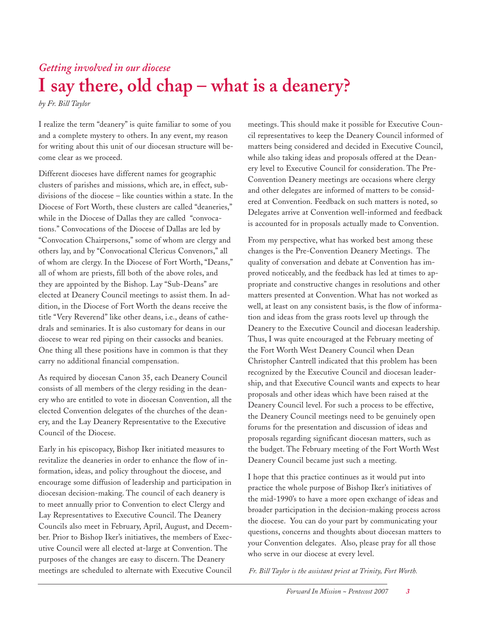## *Getting involved in our diocese* **I say there, old chap – what is a deanery?**

*by Fr. Bill Taylor*

I realize the term "deanery" is quite familiar to some of you and a complete mystery to others. In any event, my reason for writing about this unit of our diocesan structure will become clear as we proceed.

Different dioceses have different names for geographic clusters of parishes and missions, which are, in effect, subdivisions of the diocese – like counties within a state. In the Diocese of Fort Worth, these clusters are called "deaneries," while in the Diocese of Dallas they are called "convocations." Convocations of the Diocese of Dallas are led by "Convocation Chairpersons," some of whom are clergy and others lay, and by "Convocational Clericus Convenors," all of whom are clergy. In the Diocese of Fort Worth, "Deans," all of whom are priests, fill both of the above roles, and they are appointed by the Bishop. Lay "Sub-Deans" are elected at Deanery Council meetings to assist them. In addition, in the Diocese of Fort Worth the deans receive the title "Very Reverend" like other deans, i.e., deans of cathedrals and seminaries. It is also customary for deans in our diocese to wear red piping on their cassocks and beanies. One thing all these positions have in common is that they carry no additional financial compensation.

As required by diocesan Canon 35, each Deanery Council consists of all members of the clergy residing in the deanery who are entitled to vote in diocesan Convention, all the elected Convention delegates of the churches of the deanery, and the Lay Deanery Representative to the Executive Council of the Diocese.

Early in his episcopacy, Bishop Iker initiated measures to revitalize the deaneries in order to enhance the flow of information, ideas, and policy throughout the diocese, and encourage some diffusion of leadership and participation in diocesan decision-making. The council of each deanery is to meet annually prior to Convention to elect Clergy and Lay Representatives to Executive Council. The Deanery Councils also meet in February, April, August, and December. Prior to Bishop Iker's initiatives, the members of Executive Council were all elected at-large at Convention. The purposes of the changes are easy to discern. The Deanery meetings are scheduled to alternate with Executive Council

meetings. This should make it possible for Executive Council representatives to keep the Deanery Council informed of matters being considered and decided in Executive Council, while also taking ideas and proposals offered at the Deanery level to Executive Council for consideration. The Pre-Convention Deanery meetings are occasions where clergy and other delegates are informed of matters to be considered at Convention. Feedback on such matters is noted, so Delegates arrive at Convention well-informed and feedback is accounted for in proposals actually made to Convention.

From my perspective, what has worked best among these changes is the Pre-Convention Deanery Meetings. The quality of conversation and debate at Convention has improved noticeably, and the feedback has led at times to appropriate and constructive changes in resolutions and other matters presented at Convention. What has not worked as well, at least on any consistent basis, is the flow of information and ideas from the grass roots level up through the Deanery to the Executive Council and diocesan leadership. Thus, I was quite encouraged at the February meeting of the Fort Worth West Deanery Council when Dean Christopher Cantrell indicated that this problem has been recognized by the Executive Council and diocesan leadership, and that Executive Council wants and expects to hear proposals and other ideas which have been raised at the Deanery Council level. For such a process to be effective, the Deanery Council meetings need to be genuinely open forums for the presentation and discussion of ideas and proposals regarding significant diocesan matters, such as the budget. The February meeting of the Fort Worth West Deanery Council became just such a meeting.

I hope that this practice continues as it would put into practice the whole purpose of Bishop Iker's initiatives of the mid-1990's to have a more open exchange of ideas and broader participation in the decision-making process across the diocese. You can do your part by communicating your questions, concerns and thoughts about diocesan matters to your Convention delegates. Also, please pray for all those who serve in our diocese at every level.

*Fr. Bill Taylor is the assistant priest at Trinity, Fort Worth.*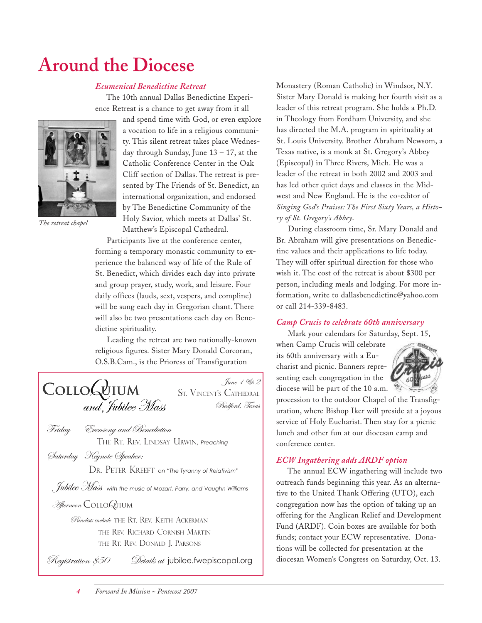# **Around the Diocese**

#### *Ecumenical Benedictine Retreat*

The 10th annual Dallas Benedictine Experience Retreat is a chance to get away from it all



*The retreat chapel*

and spend time with God, or even explore a vocation to life in a religious community. This silent retreat takes place Wednesday through Sunday, June  $13 - 17$ , at the Catholic Conference Center in the Oak Cliff section of Dallas. The retreat is presented by The Friends of St. Benedict, an international organization, and endorsed by The Benedictine Community of the Holy Savior, which meets at Dallas' St. Matthew's Episcopal Cathedral.

Participants live at the conference center, forming a temporary monastic community to experience the balanced way of life of the Rule of St. Benedict, which divides each day into private and group prayer, study, work, and leisure. Four daily offices (lauds, sext, vespers, and compline) will be sung each day in Gregorian chant. There will also be two presentations each day on Benedictine spirituality.

Leading the retreat are two nationally-known religious figures. Sister Mary Donald Corcoran, O.S.B.Cam., is the Prioress of Transfiguration

June 1 & 2 COLLOGUIUM ST. VINCENT'S CATHEDRAL and Jubilee Mass Bedford, Texas

Friday Evensong and Benediction THE RT. REV. LINDSAY URWIN, *Preaching*

Saturday Keynote Speaker:

DR. PETER KREEFT *on "The Tyranny of Relativism"*

Jubilee Mass *with the music of Mozart, Parry, and Vaughn Williams*

#### Afternoon COLLO*Q*UIUM

Panelists include THE RT. REV. KEITH ACKERMAN THE REV. RICHARD CORNISH MARTIN THE RT. REV. DONALD J. PARSONS

 $\mathscr{B}$ egistration  $\mathscr{S}5O$  Details at jubilee. fwepiscopal.org

Monastery (Roman Catholic) in Windsor, N.Y. Sister Mary Donald is making her fourth visit as a leader of this retreat program. She holds a Ph.D. in Theology from Fordham University, and she has directed the M.A. program in spirituality at St. Louis University. Brother Abraham Newsom, a Texas native, is a monk at St. Gregory's Abbey (Episcopal) in Three Rivers, Mich. He was a leader of the retreat in both 2002 and 2003 and has led other quiet days and classes in the Midwest and New England. He is the co-editor of *Singing God's Praises: The First Sixty Years, a History of St. Gregory's Abbey*.

During classroom time, Sr. Mary Donald and Br. Abraham will give presentations on Benedictine values and their applications to life today. They will offer spiritual direction for those who wish it. The cost of the retreat is about \$300 per person, including meals and lodging. For more information, write to dallasbenedictine@yahoo.com or call 214-339-8483.

#### *Camp Crucis to celebrate 60th anniversary*

Mark your calendars for Saturday, Sept. 15,

when Camp Crucis will celebrate its 60th anniversary with a Eucharist and picnic. Banners representing each congregation in the diocese will be part of the 10 a.m.



procession to the outdoor Chapel of the Transfiguration, where Bishop Iker will preside at a joyous service of Holy Eucharist. Then stay for a picnic lunch and other fun at our diocesan camp and conference center.

#### *ECW Ingathering adds ARDF option*

The annual ECW ingathering will include two outreach funds beginning this year. As an alternative to the United Thank Offering (UTO), each congregation now has the option of taking up an offering for the Anglican Relief and Development Fund (ARDF). Coin boxes are available for both funds; contact your ECW representative. Donations will be collected for presentation at the diocesan Women's Congress on Saturday, Oct. 13.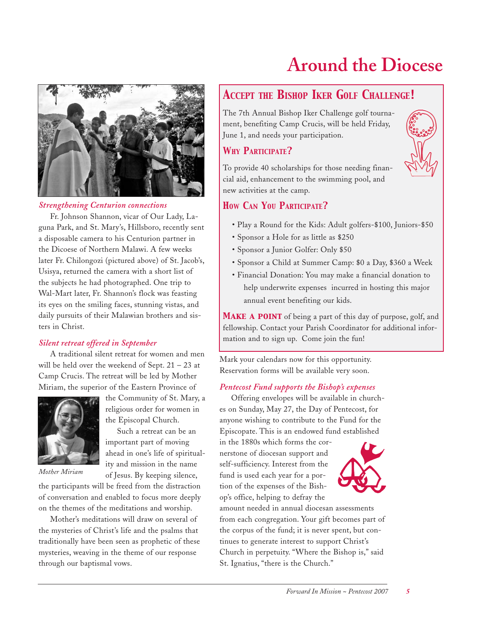



#### *Strengthening Centurion connections*

Fr. Johnson Shannon, vicar of Our Lady, Laguna Park, and St. Mary's, Hillsboro, recently sent a disposable camera to his Centurion partner in the Dicoese of Northern Malawi. A few weeks later Fr. Chilongozi (pictured above) of St. Jacob's, Usisya, returned the camera with a short list of the subjects he had photographed. One trip to Wal-Mart later, Fr. Shannon's flock was feasting its eyes on the smiling faces, stunning vistas, and daily pursuits of their Malawian brothers and sisters in Christ.

#### *Silent retreat offered in September*

A traditional silent retreat for women and men will be held over the weekend of Sept.  $21 - 23$  at Camp Crucis. The retreat will be led by Mother Miriam, the superior of the Eastern Province of

> the Community of St. Mary, a religious order for women in the Episcopal Church.

> Such a retreat can be an important part of moving ahead in one's life of spirituality and mission in the name of Jesus. By keeping silence,



*Mother Miriam*

the participants will be freed from the distraction of conversation and enabled to focus more deeply on the themes of the meditations and worship.

Mother's meditations will draw on several of the mysteries of Christ's life and the psalms that traditionally have been seen as prophetic of these mysteries, weaving in the theme of our response through our baptismal vows.

### *ACCEPT THE BISHOP IKER GOLF CHALLENGE!*

The 7th Annual Bishop Iker Challenge golf tournament, benefiting Camp Crucis, will be held Friday, June 1, and needs your participation.

#### *WHY PARTICIPATE?*

To provide 40 scholarships for those needing financial aid, enhancement to the swimming pool, and new activities at the camp.

#### *HOW CAN YOU PARTICIPATE?*

- Play a Round for the Kids: Adult golfers-\$100, Juniors-\$50
- Sponsor a Hole for as little as \$250
- Sponsor a Junior Golfer: Only \$50
- Sponsor a Child at Summer Camp: \$0 a Day, \$360 a Week
- Financial Donation: You may make a financial donation to help underwrite expenses incurred in hosting this major annual event benefiting our kids.

MAKE A POINT of being a part of this day of purpose, golf, and fellowship. Contact your Parish Coordinator for additional information and to sign up. Come join the fun!

Mark your calendars now for this opportunity. Reservation forms will be available very soon.

#### *Pentecost Fund supports the Bishop's expenses*

Offering envelopes will be available in churches on Sunday, May 27, the Day of Pentecost, for anyone wishing to contribute to the Fund for the Episcopate. This is an endowed fund established

in the 1880s which forms the cornerstone of diocesan support and self-sufficiency. Interest from the fund is used each year for a portion of the expenses of the Bishop's office, helping to defray the



amount needed in annual diocesan assessments from each congregation. Your gift becomes part of the corpus of the fund; it is never spent, but continues to generate interest to support Christ's Church in perpetuity. "Where the Bishop is," said St. Ignatius, "there is the Church."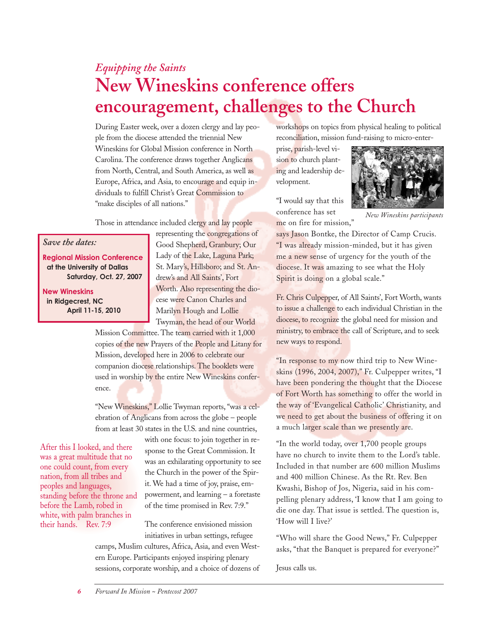## *Equipping the Saints* **New Wineskins conference offers encouragement, challenges to the Church**

During Easter week, over a dozen clergy and lay people from the diocese attended the triennial New Wineskins for Global Mission conference in North Carolina. The conference draws together Anglicans from North, Central, and South America, as well as Europe, Africa, and Asia, to encourage and equip individuals to fulfill Christ's Great Commission to "make disciples of all nations."

Those in attendance included clergy and lay people

#### *Save the dates:*

**Regional Mission Conference at the University of Dallas Saturday, Oct. 27, 2007**

**New Wineskins in Ridgecrest, NC April 11-15, 2010** representing the congregations of Good Shepherd, Granbury; Our Lady of the Lake, Laguna Park; St. Mary's, Hillsboro; and St. Andrew's and All Saints', Fort Worth. Also representing the diocese were Canon Charles and Marilyn Hough and Lollie Twyman, the head of our World

Mission Committee. The team carried with it 1,000 copies of the new Prayers of the People and Litany for Mission, developed here in 2006 to celebrate our companion diocese relationships. The booklets were used in worship by the entire New Wineskins conference.

"New Wineskins," Lollie Twyman reports, "was a celebration of Anglicans from across the globe – people from at least 30 states in the U.S. and nine countries,

After this I looked, and there was a great multitude that no one could count, from every nation, from all tribes and peoples and languages, standing before the throne and before the Lamb, robed in white, with palm branches in their hands. Rev. 7:9

with one focus: to join together in response to the Great Commission. It was an exhilarating opportunity to see the Church in the power of the Spirit. We had a time of joy, praise, empowerment, and learning – a foretaste of the time promised in Rev. 7:9."

The conference envisioned mission initiatives in urban settings, refugee

camps, Muslim cultures, Africa, Asia, and even Western Europe. Participants enjoyed inspiring plenary sessions, corporate worship, and a choice of dozens of workshops on topics from physical healing to political reconciliation, mission fund-raising to micro-enter-

prise, parish-level vision to church planting and leadership development.

"I would say that this conference has set me on fire for mission,"



*New Wineskins participants*

says Jason Bontke, the Director of Camp Crucis. "I was already mission-minded, but it has given me a new sense of urgency for the youth of the diocese. It was amazing to see what the Holy Spirit is doing on a global scale."

Fr. Chris Culpepper, of All Saints', Fort Worth, wants to issue a challenge to each individual Christian in the diocese, to recognize the global need for mission and ministry, to embrace the call of Scripture, and to seek new ways to respond.

"In response to my now third trip to New Wineskins (1996, 2004, 2007)," Fr. Culpepper writes, "I have been pondering the thought that the Diocese of Fort Worth has something to offer the world in the way of 'Evangelical Catholic' Christianity, and we need to get about the business of offering it on a much larger scale than we presently are.

"In the world today, over 1,700 people groups have no church to invite them to the Lord's table. Included in that number are 600 million Muslims and 400 million Chinese. As the Rt. Rev. Ben Kwashi, Bishop of Jos, Nigeria, said in his compelling plenary address, 'I know that I am going to die one day. That issue is settled. The question is, 'How will I live?'

"Who will share the Good News," Fr. Culpepper asks, "that the Banquet is prepared for everyone?"

Jesus calls us.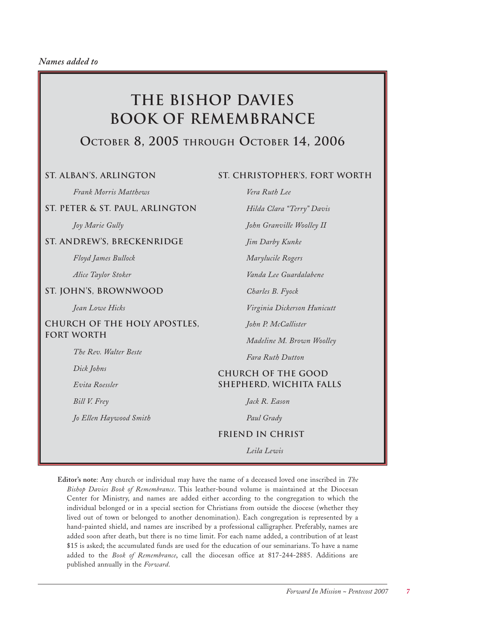## **The Bishop Davies Book of Remembrance**

### **OCTOBER 8, 2005 THROUGH OCTOBER 14, 2006**

#### **St. Alban's, Arlington**

**St. Christopher's, Fort Worth**

*Hilda Clara "Terry" Davis*

*John Granville Woolley II*

*Vanda Lee Guardalabene*

*Virginia Dickerson Hunicutt*

*Madeline M. Brown Woolley*

*Vera Ruth Lee*

*Jim Darby Kunke*

*Marylucile Rogers*

*Charles B. Fyock*

*John P. McCallister*

*Fara Ruth Dutton*

**Church of the Good Shepherd, Wichita Falls**

*Frank Morris Matthews*

#### **St. Peter & St. Paul, Arlington**

*Joy Marie Gully*

#### **St. Andrew's, Breckenridge**

*Floyd James Bullock*

*Alice Taylor Stoker*

#### **St. John's, Brownwood**

*Jean Lowe Hicks*

#### **Church of the Holy Apostles, Fort Worth**

*The Rev. Walter Beste*

*Dick Johns*

*Evita Roessler*

*Bill V. Frey*

*Jo Ellen Haywood Smith*

### *Paul Grady* **Friend in Christ**

*Jack R. Eason*

*Leila Lewis*

**Editor's note**: Any church or individual may have the name of a deceased loved one inscribed in *The Bishop Davies Book of Remembrance*. This leather-bound volume is maintained at the Diocesan Center for Ministry, and names are added either according to the congregation to which the individual belonged or in a special section for Christians from outside the diocese (whether they lived out of town or belonged to another denomination). Each congregation is represented by a hand-painted shield, and names are inscribed by a professional calligrapher. Preferably, names are added soon after death, but there is no time limit. For each name added, a contribution of at least \$15 is asked; the accumulated funds are used for the education of our seminarians. To have a name added to the *Book of Remembrance*, call the diocesan office at 817-244-2885. Additions are published annually in the *Forward*.